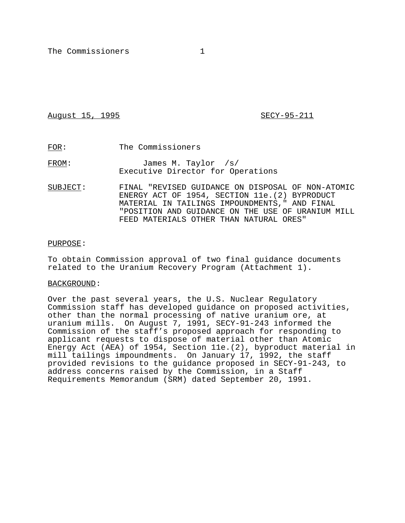August 15, 1995 **SECY-95-211** 

FOR: The Commissioners

FROM: James M. Taylor /s/ Executive Director for Operations

SUBJECT: FINAL "REVISED GUIDANCE ON DISPOSAL OF NON-ATOMIC ENERGY ACT OF 1954, SECTION 11e.(2) BYPRODUCT MATERIAL IN TAILINGS IMPOUNDMENTS," AND FINAL "POSITION AND GUIDANCE ON THE USE OF URANIUM MILL FEED MATERIALS OTHER THAN NATURAL ORES"

#### PURPOSE:

To obtain Commission approval of two final guidance documents related to the Uranium Recovery Program (Attachment 1).

## BACKGROUND:

Over the past several years, the U.S. Nuclear Regulatory Commission staff has developed guidance on proposed activities, other than the normal processing of native uranium ore, at uranium mills. On August 7, 1991, SECY-91-243 informed the Commission of the staff's proposed approach for responding to applicant requests to dispose of material other than Atomic Energy Act (AEA) of 1954, Section 11e.(2), byproduct material in mill tailings impoundments. On January 17, 1992, the staff provided revisions to the guidance proposed in SECY-91-243, to address concerns raised by the Commission, in a Staff Requirements Memorandum (SRM) dated September 20, 1991.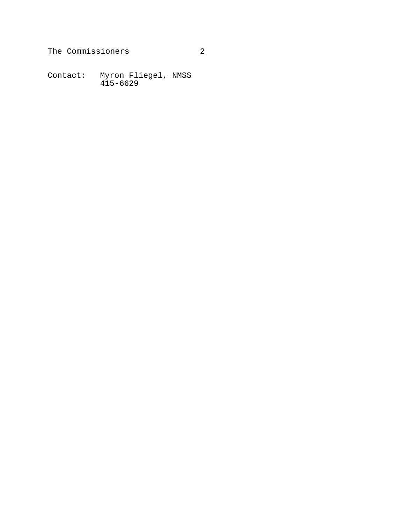Contact: Myron Fliegel, NMSS 415-6629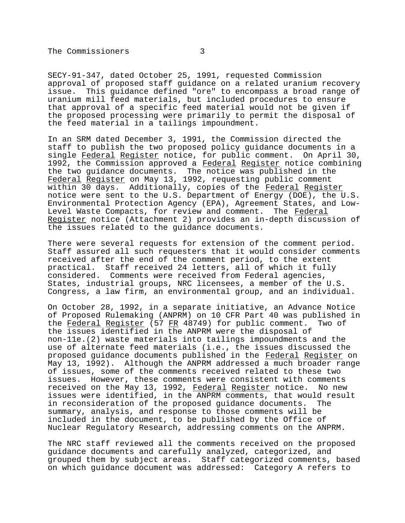SECY-91-347, dated October 25, 1991, requested Commission approval of proposed staff guidance on a related uranium recovery<br>issue. This quidance defined "ore" to encompass a broad range of This guidance defined "ore" to encompass a broad range of uranium mill feed materials, but included procedures to ensure that approval of a specific feed material would not be given if the proposed processing were primarily to permit the disposal of the feed material in a tailings impoundment.

In an SRM dated December 3, 1991, the Commission directed the staff to publish the two proposed policy guidance documents in a single Federal Register notice, for public comment. On April 30, 1992, the Commission approved a Federal Register notice combining the two guidance documents. The notice was published in the Federal Register on May 13, 1992, requesting public comment within 30 days. Additionally, copies of the Federal Register notice were sent to the U.S. Department of Energy (DOE), the U.S. Environmental Protection Agency (EPA), Agreement States, and Low-Level Waste Compacts, for review and comment. The Federal Register notice (Attachment 2) provides an in-depth discussion of the issues related to the guidance documents.

There were several requests for extension of the comment period. Staff assured all such requesters that it would consider comments received after the end of the comment period, to the extent practical. Staff received 24 letters, all of which it fully considered. Comments were received from Federal agencies, States, industrial groups, NRC licensees, a member of the U.S. Congress, a law firm, an environmental group, and an individual.

On October 28, 1992, in a separate initiative, an Advance Notice of Proposed Rulemaking (ANPRM) on 10 CFR Part 40 was published in the Federal Register (57 FR 48749) for public comment. Two of the issues identified in the ANPRM were the disposal of non-11e.(2) waste materials into tailings impoundments and the use of alternate feed materials (i.e., the issues discussed the proposed guidance documents published in the Federal Register on May 13, 1992). Although the ANPRM addressed a much broader range of issues, some of the comments received related to these two issues. However, these comments were consistent with comments received on the May 13, 1992, Federal Register notice. No new issues were identified, in the ANPRM comments, that would result in reconsideration of the proposed guidance documents. The summary, analysis, and response to those comments will be included in the document, to be published by the Office of Nuclear Regulatory Research, addressing comments on the ANPRM.

The NRC staff reviewed all the comments received on the proposed guidance documents and carefully analyzed, categorized, and grouped them by subject areas. Staff categorized comments, based on which guidance document was addressed: Category A refers to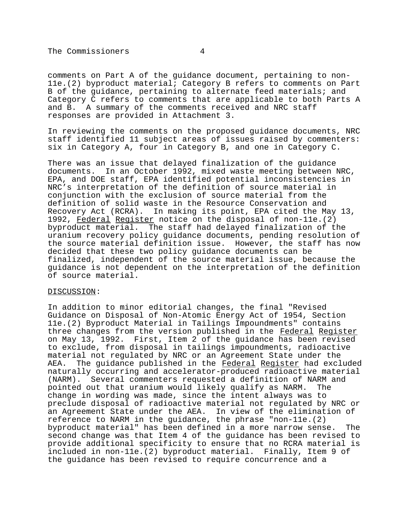comments on Part A of the guidance document, pertaining to non-11e.(2) byproduct material; Category B refers to comments on Part B of the guidance, pertaining to alternate feed materials; and Category C refers to comments that are applicable to both Parts A and B. A summary of the comments received and NRC staff responses are provided in Attachment 3.

In reviewing the comments on the proposed guidance documents, NRC staff identified 11 subject areas of issues raised by commenters: six in Category A, four in Category B, and one in Category C.

There was an issue that delayed finalization of the guidance documents. In an October 1992, mixed waste meeting between NRC, EPA, and DOE staff, EPA identified potential inconsistencies in NRC's interpretation of the definition of source material in conjunction with the exclusion of source material from the definition of solid waste in the Resource Conservation and Recovery Act (RCRA). In making its point, EPA cited the May 13, 1992, Federal Register notice on the disposal of non-11e.(2) byproduct material. The staff had delayed finalization of the uranium recovery policy guidance documents, pending resolution of the source material definition issue. However, the staff has now decided that these two policy guidance documents can be finalized, independent of the source material issue, because the guidance is not dependent on the interpretation of the definition of source material.

## DISCUSSION:

In addition to minor editorial changes, the final "Revised Guidance on Disposal of Non-Atomic Energy Act of 1954, Section 11e.(2) Byproduct Material in Tailings Impoundments" contains three changes from the version published in the Federal Register on May 13, 1992. First, Item 2 of the guidance has been revised to exclude, from disposal in tailings impoundments, radioactive material not regulated by NRC or an Agreement State under the AEA. The guidance published in the Federal Register had excluded naturally occurring and accelerator-produced radioactive material (NARM). Several commenters requested a definition of NARM and pointed out that uranium would likely qualify as NARM. The change in wording was made, since the intent always was to preclude disposal of radioactive material not regulated by NRC or an Agreement State under the AEA. In view of the elimination of reference to NARM in the guidance, the phrase "non-11e.(2) byproduct material" has been defined in a more narrow sense. The second change was that Item 4 of the guidance has been revised to provide additional specificity to ensure that no RCRA material is included in non-11e.(2) byproduct material. Finally, Item 9 of the guidance has been revised to require concurrence and a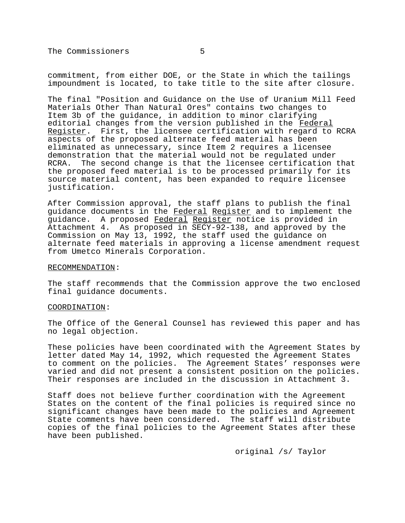commitment, from either DOE, or the State in which the tailings impoundment is located, to take title to the site after closure.

The final "Position and Guidance on the Use of Uranium Mill Feed Materials Other Than Natural Ores" contains two changes to Item 3b of the guidance, in addition to minor clarifying editorial changes from the version published in the Federal Register. First, the licensee certification with regard to RCRA aspects of the proposed alternate feed material has been eliminated as unnecessary, since Item 2 requires a licensee demonstration that the material would not be regulated under RCRA. The second change is that the licensee certification that the proposed feed material is to be processed primarily for its source material content, has been expanded to require licensee justification.

After Commission approval, the staff plans to publish the final guidance documents in the Federal Register and to implement the guidance. A proposed Federal Register notice is provided in Attachment 4. As proposed in SECY-92-138, and approved by the Commission on May 13, 1992, the staff used the guidance on alternate feed materials in approving a license amendment request from Umetco Minerals Corporation.

#### RECOMMENDATION:

The staff recommends that the Commission approve the two enclosed final guidance documents.

#### COORDINATION:

The Office of the General Counsel has reviewed this paper and has no legal objection.

These policies have been coordinated with the Agreement States by letter dated May 14, 1992, which requested the Agreement States to comment on the policies. The Agreement States' responses were varied and did not present a consistent position on the policies. Their responses are included in the discussion in Attachment 3.

Staff does not believe further coordination with the Agreement States on the content of the final policies is required since no significant changes have been made to the policies and Agreement State comments have been considered. The staff will distribute copies of the final policies to the Agreement States after these have been published.

original /s/ Taylor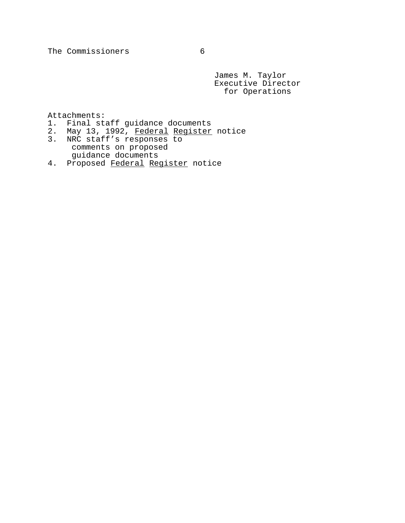James M. Taylor Executive Director for Operations

Attachments:

- 1. Final staff guidance documents
- 2. May 13, 1992, Federal Register notice
- 3. NRC staff's responses to comments on proposed guidance documents
- 4. Proposed Federal Register notice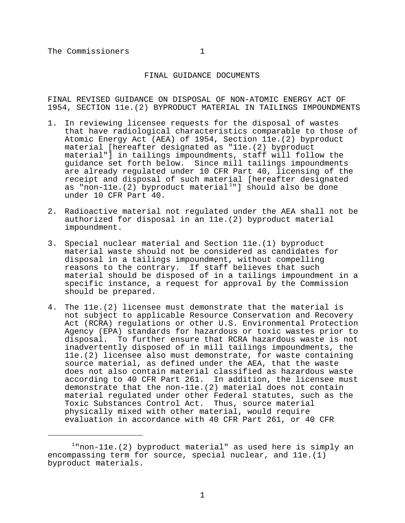## FINAL GUIDANCE DOCUMENTS

FINAL REVISED GUIDANCE ON DISPOSAL OF NON-ATOMIC ENERGY ACT OF 1954, SECTION 11e.(2) BYPRODUCT MATERIAL IN TAILINGS IMPOUNDMENTS

- 1. In reviewing licensee requests for the disposal of wastes that have radiological characteristics comparable to those of Atomic Energy Act (AEA) of 1954, Section 11e.(2) byproduct material [hereafter designated as "11e.(2) byproduct material"] in tailings impoundments, staff will follow the guidance set forth below. Since mill tailings impoundments are already regulated under 10 CFR Part 40, licensing of the receipt and disposal of such material [hereafter designated as "non-11e.(2) byproduct material<sup>1</sup>"] should also be done under 10 CFR Part 40.
- 2. Radioactive material not regulated under the AEA shall not be authorized for disposal in an 11e.(2) byproduct material impoundment.
- 3. Special nuclear material and Section 11e.(1) byproduct material waste should not be considered as candidates for disposal in a tailings impoundment, without compelling reasons to the contrary. If staff believes that such material should be disposed of in a tailings impoundment in a specific instance, a request for approval by the Commission should be prepared.
- 4. The 11e.(2) licensee must demonstrate that the material is not subject to applicable Resource Conservation and Recovery Act (RCRA) regulations or other U.S. Environmental Protection Agency (EPA) standards for hazardous or toxic wastes prior to disposal. To further ensure that RCRA hazardous waste is not inadvertently disposed of in mill tailings impoundments, the 11e.(2) licensee also must demonstrate, for waste containing source material, as defined under the AEA, that the waste does not also contain material classified as hazardous waste according to 40 CFR Part 261. In addition, the licensee must demonstrate that the non-11e.(2) material does not contain material regulated under other Federal statutes, such as the Toxic Substances Control Act. Thus, source material physically mixed with other material, would require evaluation in accordance with 40 CFR Part 261, or 40 CFR

 $1$ "non-11e.(2) byproduct material" as used here is simply an encompassing term for source, special nuclear, and 11e.(1) byproduct materials.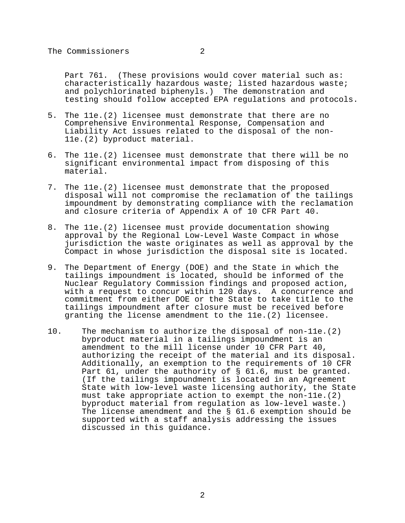Part 761. (These provisions would cover material such as: characteristically hazardous waste; listed hazardous waste; and polychlorinated biphenyls.) The demonstration and testing should follow accepted EPA regulations and protocols.

- 5. The 11e.(2) licensee must demonstrate that there are no Comprehensive Environmental Response, Compensation and Liability Act issues related to the disposal of the non-11e.(2) byproduct material.
- 6. The 11e.(2) licensee must demonstrate that there will be no significant environmental impact from disposing of this material.
- 7. The 11e.(2) licensee must demonstrate that the proposed disposal will not compromise the reclamation of the tailings impoundment by demonstrating compliance with the reclamation and closure criteria of Appendix A of 10 CFR Part 40.
- 8. The 11e.(2) licensee must provide documentation showing approval by the Regional Low-Level Waste Compact in whose jurisdiction the waste originates as well as approval by the Compact in whose jurisdiction the disposal site is located.
- 9. The Department of Energy (DOE) and the State in which the tailings impoundment is located, should be informed of the Nuclear Regulatory Commission findings and proposed action, with a request to concur within 120 days. A concurrence and commitment from either DOE or the State to take title to the tailings impoundment after closure must be received before granting the license amendment to the 11e.(2) licensee.
- 10. The mechanism to authorize the disposal of non-11e.(2) byproduct material in a tailings impoundment is an amendment to the mill license under 10 CFR Part 40, authorizing the receipt of the material and its disposal. Additionally, an exemption to the requirements of 10 CFR Part 61, under the authority of § 61.6, must be granted. (If the tailings impoundment is located in an Agreement State with low-level waste licensing authority, the State must take appropriate action to exempt the non-11e.(2) byproduct material from regulation as low-level waste.) The license amendment and the § 61.6 exemption should be supported with a staff analysis addressing the issues discussed in this guidance.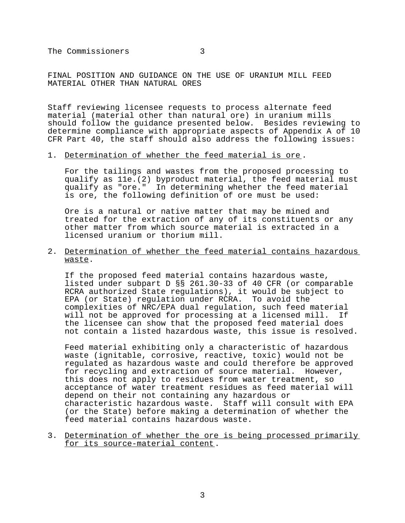FINAL POSITION AND GUIDANCE ON THE USE OF URANIUM MILL FEED MATERIAL OTHER THAN NATURAL ORES

Staff reviewing licensee requests to process alternate feed material (material other than natural ore) in uranium mills should follow the guidance presented below. Besides reviewing to determine compliance with appropriate aspects of Appendix A of 10 CFR Part 40, the staff should also address the following issues:

#### 1. Determination of whether the feed material is ore .

For the tailings and wastes from the proposed processing to qualify as 11e.(2) byproduct material, the feed material must qualify as "ore." In determining whether the feed material is ore, the following definition of ore must be used:

Ore is a natural or native matter that may be mined and treated for the extraction of any of its constituents or any other matter from which source material is extracted in a licensed uranium or thorium mill.

2. Determination of whether the feed material contains hazardous waste.

If the proposed feed material contains hazardous waste, listed under subpart D §§ 261.30-33 of 40 CFR (or comparable RCRA authorized State regulations), it would be subject to EPA (or State) regulation under RCRA. To avoid the complexities of NRC/EPA dual regulation, such feed material will not be approved for processing at a licensed mill. If the licensee can show that the proposed feed material does not contain a listed hazardous waste, this issue is resolved.

Feed material exhibiting only a characteristic of hazardous waste (ignitable, corrosive, reactive, toxic) would not be regulated as hazardous waste and could therefore be approved for recycling and extraction of source material. However, this does not apply to residues from water treatment, so acceptance of water treatment residues as feed material will depend on their not containing any hazardous or characteristic hazardous waste. Staff will consult with EPA (or the State) before making a determination of whether the feed material contains hazardous waste.

3. Determination of whether the ore is being processed primarily for its source-material content.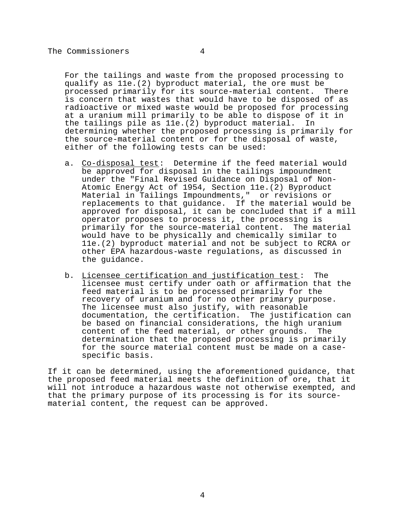For the tailings and waste from the proposed processing to qualify as 11e.(2) byproduct material, the ore must be processed primarily for its source-material content. There is concern that wastes that would have to be disposed of as radioactive or mixed waste would be proposed for processing at a uranium mill primarily to be able to dispose of it in the tailings pile as 11e.(2) byproduct material. In determining whether the proposed processing is primarily for the source-material content or for the disposal of waste, either of the following tests can be used:

- a. Co-disposal test: Determine if the feed material would be approved for disposal in the tailings impoundment under the "Final Revised Guidance on Disposal of Non-Atomic Energy Act of 1954, Section 11e.(2) Byproduct Material in Tailings Impoundments," or revisions or replacements to that guidance. If the material would be approved for disposal, it can be concluded that if a mill operator proposes to process it, the processing is primarily for the source-material content. The material would have to be physically and chemically similar to 11e.(2) byproduct material and not be subject to RCRA or other EPA hazardous-waste regulations, as discussed in the guidance.
- b. Licensee certification and justification test: The licensee must certify under oath or affirmation that the feed material is to be processed primarily for the recovery of uranium and for no other primary purpose. The licensee must also justify, with reasonable documentation, the certification. The justification can be based on financial considerations, the high uranium content of the feed material, or other grounds. The determination that the proposed processing is primarily for the source material content must be made on a casespecific basis.

If it can be determined, using the aforementioned guidance, that the proposed feed material meets the definition of ore, that it will not introduce a hazardous waste not otherwise exempted, and that the primary purpose of its processing is for its sourcematerial content, the request can be approved.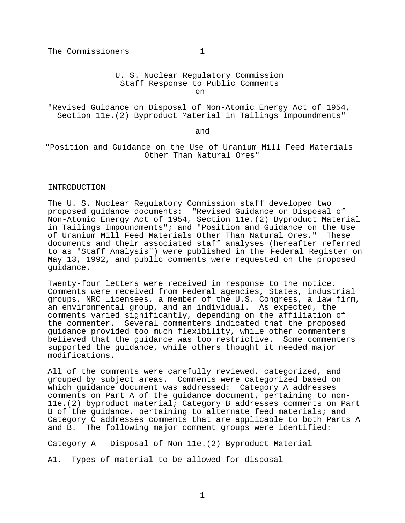U. S. Nuclear Regulatory Commission Staff Response to Public Comments

on

"Revised Guidance on Disposal of Non-Atomic Energy Act of 1954, Section 11e.(2) Byproduct Material in Tailings Impoundments"

and

"Position and Guidance on the Use of Uranium Mill Feed Materials Other Than Natural Ores"

## INTRODUCTION

The U. S. Nuclear Regulatory Commission staff developed two proposed guidance documents: "Revised Guidance on Disposal of Non-Atomic Energy Act of 1954, Section 11e.(2) Byproduct Material in Tailings Impoundments"; and "Position and Guidance on the Use of Uranium Mill Feed Materials Other Than Natural Ores." These documents and their associated staff analyses (hereafter referred to as "Staff Analysis") were published in the Federal Register on May 13, 1992, and public comments were requested on the proposed guidance.

Twenty-four letters were received in response to the notice. Comments were received from Federal agencies, States, industrial groups, NRC licensees, a member of the U.S. Congress, a law firm, an environmental group, and an individual. As expected, the comments varied significantly, depending on the affiliation of the commenter. Several commenters indicated that the proposed guidance provided too much flexibility, while other commenters believed that the guidance was too restrictive. Some commenters supported the guidance, while others thought it needed major modifications.

All of the comments were carefully reviewed, categorized, and grouped by subject areas. Comments were categorized based on which guidance document was addressed: Category A addresses comments on Part A of the guidance document, pertaining to non-11e.(2) byproduct material; Category B addresses comments on Part B of the guidance, pertaining to alternate feed materials; and Category C addresses comments that are applicable to both Parts A and B. The following major comment groups were identified:

Category A - Disposal of Non-11e.(2) Byproduct Material

A1. Types of material to be allowed for disposal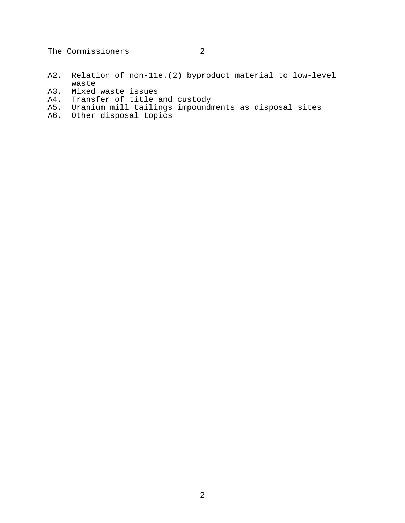- A2. Relation of non-11e.(2) byproduct material to low-level waste
- A3. Mixed waste issues
- A4. Transfer of title and custody
- A5. Uranium mill tailings impoundments as disposal sites
- A6. Other disposal topics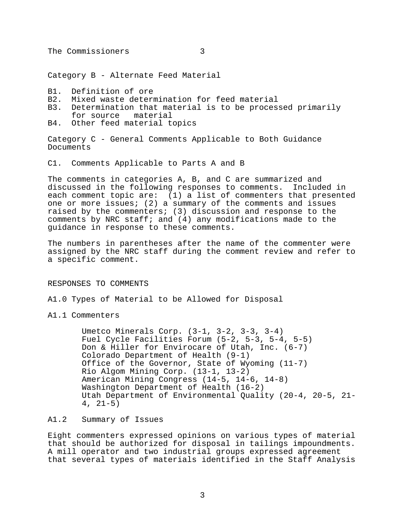Category B - Alternate Feed Material

- B1. Definition of ore
- B2. Mixed waste determination for feed material
- B3. Determination that material is to be processed primarily for source material
- B4. Other feed material topics

Category C - General Comments Applicable to Both Guidance Documents

C1. Comments Applicable to Parts A and B

The comments in categories A, B, and C are summarized and discussed in the following responses to comments. Included in each comment topic are: (1) a list of commenters that presented one or more issues; (2) a summary of the comments and issues raised by the commenters; (3) discussion and response to the comments by NRC staff; and (4) any modifications made to the guidance in response to these comments.

The numbers in parentheses after the name of the commenter were assigned by the NRC staff during the comment review and refer to a specific comment.

# RESPONSES TO COMMENTS

A1.0 Types of Material to be Allowed for Disposal

A1.1 Commenters

Umetco Minerals Corp. (3-1, 3-2, 3-3, 3-4) Fuel Cycle Facilities Forum (5-2, 5-3, 5-4, 5-5) Don & Hiller for Envirocare of Utah, Inc. (6-7) Colorado Department of Health (9-1) Office of the Governor, State of Wyoming (11-7) Rio Algom Mining Corp. (13-1, 13-2) American Mining Congress (14-5, 14-6, 14-8) Washington Department of Health (16-2) Utah Department of Environmental Quality (20-4, 20-5, 21-  $4, 21-5)$ 

## A1.2 Summary of Issues

Eight commenters expressed opinions on various types of material that should be authorized for disposal in tailings impoundments. A mill operator and two industrial groups expressed agreement that several types of materials identified in the Staff Analysis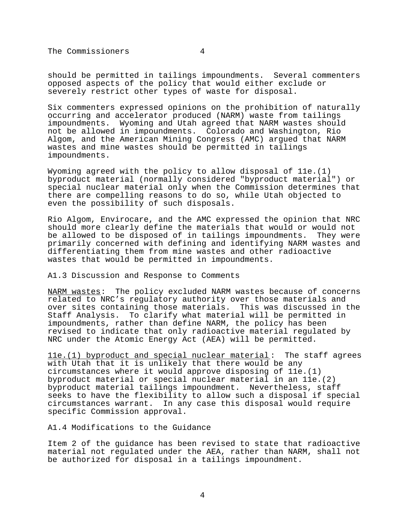should be permitted in tailings impoundments. Several commenters opposed aspects of the policy that would either exclude or severely restrict other types of waste for disposal.

Six commenters expressed opinions on the prohibition of naturally occurring and accelerator produced (NARM) waste from tailings impoundments. Wyoming and Utah agreed that NARM wastes should not be allowed in impoundments. Colorado and Washington, Rio Algom, and the American Mining Congress (AMC) argued that NARM wastes and mine wastes should be permitted in tailings impoundments.

Wyoming agreed with the policy to allow disposal of 11e.(1) byproduct material (normally considered "byproduct material") or special nuclear material only when the Commission determines that there are compelling reasons to do so, while Utah objected to even the possibility of such disposals.

Rio Algom, Envirocare, and the AMC expressed the opinion that NRC should more clearly define the materials that would or would not be allowed to be disposed of in tailings impoundments. They were primarily concerned with defining and identifying NARM wastes and differentiating them from mine wastes and other radioactive wastes that would be permitted in impoundments.

A1.3 Discussion and Response to Comments

NARM wastes: The policy excluded NARM wastes because of concerns related to NRC's regulatory authority over those materials and over sites containing those materials. This was discussed in the Staff Analysis. To clarify what material will be permitted in impoundments, rather than define NARM, the policy has been revised to indicate that only radioactive material regulated by NRC under the Atomic Energy Act (AEA) will be permitted.

11e.(1) byproduct and special nuclear material: The staff agrees with Utah that it is unlikely that there would be any circumstances where it would approve disposing of 11e.(1) byproduct material or special nuclear material in an 11e.(2) byproduct material tailings impoundment. Nevertheless, staff seeks to have the flexibility to allow such a disposal if special circumstances warrant. In any case this disposal would require specific Commission approval.

A1.4 Modifications to the Guidance

Item 2 of the guidance has been revised to state that radioactive material not regulated under the AEA, rather than NARM, shall not be authorized for disposal in a tailings impoundment.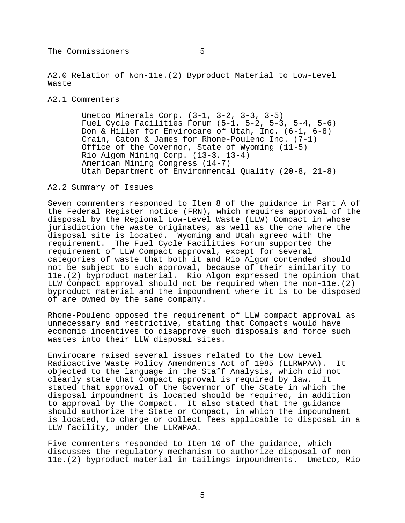A2.0 Relation of Non-11e.(2) Byproduct Material to Low-Level Waste

A2.1 Commenters

Umetco Minerals Corp. (3-1, 3-2, 3-3, 3-5) Fuel Cycle Facilities Forum (5-1, 5-2, 5-3, 5-4, 5-6) Don & Hiller for Envirocare of Utah, Inc. (6-1, 6-8) Crain, Caton & James for Rhone-Poulenc Inc. (7-1) Office of the Governor, State of Wyoming (11-5) Rio Algom Mining Corp. (13-3, 13-4) American Mining Congress (14-7) Utah Department of Environmental Quality (20-8, 21-8)

A2.2 Summary of Issues

Seven commenters responded to Item 8 of the guidance in Part A of the Federal Register notice (FRN), which requires approval of the disposal by the Regional Low-Level Waste (LLW) Compact in whose jurisdiction the waste originates, as well as the one where the disposal site is located. Wyoming and Utah agreed with the requirement. The Fuel Cycle Facilities Forum supported the requirement of LLW Compact approval, except for several categories of waste that both it and Rio Algom contended should not be subject to such approval, because of their similarity to 11e.(2) byproduct material. Rio Algom expressed the opinion that LLW Compact approval should not be required when the non-11e.(2) byproduct material and the impoundment where it is to be disposed of are owned by the same company.

Rhone-Poulenc opposed the requirement of LLW compact approval as unnecessary and restrictive, stating that Compacts would have economic incentives to disapprove such disposals and force such wastes into their LLW disposal sites.

Envirocare raised several issues related to the Low Level Radioactive Waste Policy Amendments Act of 1985 (LLRWPAA). It objected to the language in the Staff Analysis, which did not clearly state that Compact approval is required by law. It stated that approval of the Governor of the State in which the disposal impoundment is located should be required, in addition to approval by the Compact. It also stated that the guidance should authorize the State or Compact, in which the impoundment is located, to charge or collect fees applicable to disposal in a LLW facility, under the LLRWPAA.

Five commenters responded to Item 10 of the guidance, which discusses the regulatory mechanism to authorize disposal of non-11e.(2) byproduct material in tailings impoundments. Umetco, Rio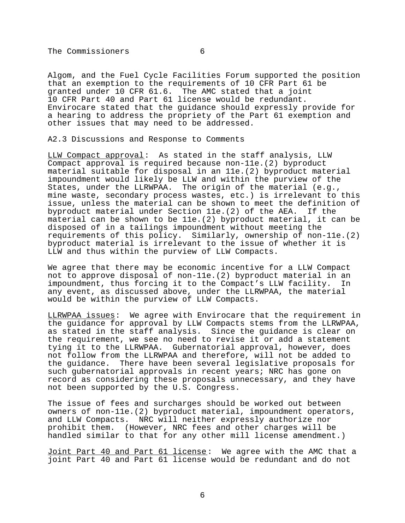Algom, and the Fuel Cycle Facilities Forum supported the position that an exemption to the requirements of 10 CFR Part 61 be granted under 10 CFR 61.6. The AMC stated that a joint The AMC stated that a joint 10 CFR Part 40 and Part 61 license would be redundant. Envirocare stated that the guidance should expressly provide for a hearing to address the propriety of the Part 61 exemption and other issues that may need to be addressed.

A2.3 Discussions and Response to Comments

LLW Compact approval: As stated in the staff analysis, LLW Compact approval is required because non-11e.(2) byproduct material suitable for disposal in an 11e.(2) byproduct material impoundment would likely be LLW and within the purview of the States, under the LLRWPAA. The origin of the material (e.g., mine waste, secondary process wastes, etc.) is irrelevant to this issue, unless the material can be shown to meet the definition of byproduct material under Section 11e.(2) of the AEA. If the material can be shown to be 11e.(2) byproduct material, it can be disposed of in a tailings impoundment without meeting the requirements of this policy. Similarly, ownership of non-11e.(2) byproduct material is irrelevant to the issue of whether it is LLW and thus within the purview of LLW Compacts.

We agree that there may be economic incentive for a LLW Compact not to approve disposal of non-11e.(2) byproduct material in an impoundment, thus forcing it to the Compact's LLW facility. In any event, as discussed above, under the LLRWPAA, the material would be within the purview of LLW Compacts.

LLRWPAA issues: We agree with Envirocare that the requirement in the guidance for approval by LLW Compacts stems from the LLRWPAA, as stated in the staff analysis. Since the guidance is clear on the requirement, we see no need to revise it or add a statement tying it to the LLRWPAA. Gubernatorial approval, however, does not follow from the LLRWPAA and therefore, will not be added to the guidance. There have been several legislative proposals for such gubernatorial approvals in recent years; NRC has gone on record as considering these proposals unnecessary, and they have not been supported by the U.S. Congress.

The issue of fees and surcharges should be worked out between owners of non-11e.(2) byproduct material, impoundment operators, and LLW Compacts. NRC will neither expressly authorize nor prohibit them. (However, NRC fees and other charges will be handled similar to that for any other mill license amendment.)

Joint Part 40 and Part 61 license: We agree with the AMC that a joint Part 40 and Part 61 license would be redundant and do not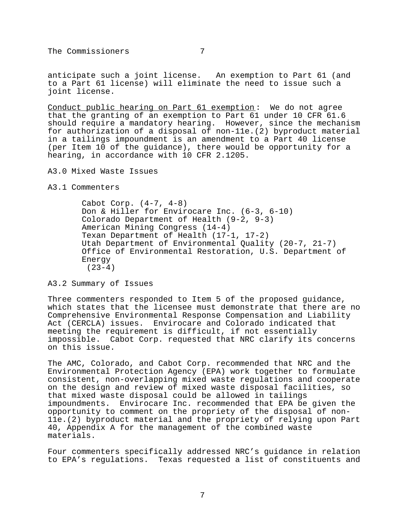anticipate such a joint license. An exemption to Part 61 (and to a Part 61 license) will eliminate the need to issue such a joint license.

Conduct public hearing on Part 61 exemption : We do not agree that the granting of an exemption to Part 61 under 10 CFR 61.6 should require a mandatory hearing. However, since the mechanism for authorization of a disposal of non-11e.(2) byproduct material in a tailings impoundment is an amendment to a Part 40 license (per Item 10 of the guidance), there would be opportunity for a hearing, in accordance with 10 CFR 2.1205.

A3.0 Mixed Waste Issues

A3.1 Commenters

Cabot Corp. (4-7, 4-8) Don & Hiller for Envirocare Inc. (6-3, 6-10) Colorado Department of Health (9-2, 9-3) American Mining Congress (14-4) Texan Department of Health (17-1, 17-2) Utah Department of Environmental Quality (20-7, 21-7) Office of Environmental Restoration, U.S. Department of Energy  $(23-4)$ 

A3.2 Summary of Issues

Three commenters responded to Item 5 of the proposed guidance, which states that the licensee must demonstrate that there are no Comprehensive Environmental Response Compensation and Liability Act (CERCLA) issues. Envirocare and Colorado indicated that meeting the requirement is difficult, if not essentially impossible. Cabot Corp. requested that NRC clarify its concerns on this issue.

The AMC, Colorado, and Cabot Corp. recommended that NRC and the Environmental Protection Agency (EPA) work together to formulate consistent, non-overlapping mixed waste regulations and cooperate on the design and review of mixed waste disposal facilities, so that mixed waste disposal could be allowed in tailings impoundments. Envirocare Inc. recommended that EPA be given the opportunity to comment on the propriety of the disposal of non-11e.(2) byproduct material and the propriety of relying upon Part 40, Appendix A for the management of the combined waste materials.

Four commenters specifically addressed NRC's guidance in relation to EPA's regulations. Texas requested a list of constituents and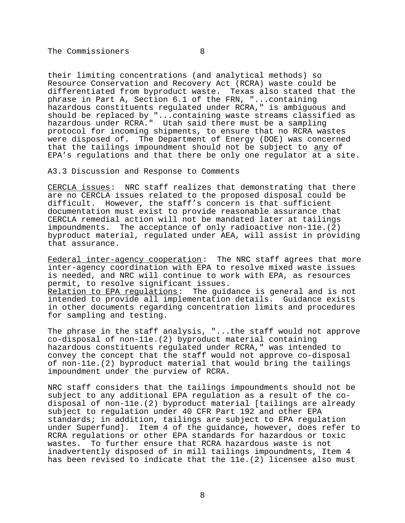their limiting concentrations (and analytical methods) so Resource Conservation and Recovery Act (RCRA) waste could be differentiated from byproduct waste. Texas also stated that the phrase in Part A, Section 6.1 of the FRN, "...containing hazardous constituents regulated under RCRA," is ambiguous and should be replaced by "...containing waste streams classified as hazardous under RCRA." Utah said there must be a sampling protocol for incoming shipments, to ensure that no RCRA wastes were disposed of. The Department of Energy (DOE) was concerned that the tailings impoundment should not be subject to any of EPA's regulations and that there be only one regulator at a site.

A3.3 Discussion and Response to Comments

CERCLA issues: NRC staff realizes that demonstrating that there are no CERCLA issues related to the proposed disposal could be difficult. However, the staff's concern is that sufficient documentation must exist to provide reasonable assurance that CERCLA remedial action will not be mandated later at tailings impoundments. The acceptance of only radioactive non-11e.(2) byproduct material, regulated under AEA, will assist in providing that assurance.

Federal inter-agency cooperation: The NRC staff agrees that more inter-agency coordination with EPA to resolve mixed waste issues is needed, and NRC will continue to work with EPA, as resources permit, to resolve significant issues. Relation to EPA regulations: The guidance is general and is not intended to provide all implementation details. Guidance exists in other documents regarding concentration limits and procedures for sampling and testing.

The phrase in the staff analysis, "...the staff would not approve co-disposal of non-11e.(2) byproduct material containing hazardous constituents regulated under RCRA," was intended to convey the concept that the staff would not approve co-disposal of non-11e.(2) byproduct material that would bring the tailings impoundment under the purview of RCRA.

NRC staff considers that the tailings impoundments should not be subject to any additional EPA regulation as a result of the codisposal of non-11e.(2) byproduct material [tailings are already subject to regulation under 40 CFR Part 192 and other EPA standards; in addition, tailings are subject to EPA regulation under Superfund]. Item 4 of the guidance, however, does refer to RCRA regulations or other EPA standards for hazardous or toxic wastes. To further ensure that RCRA hazardous waste is not inadvertently disposed of in mill tailings impoundments, Item 4 has been revised to indicate that the 11e.(2) licensee also must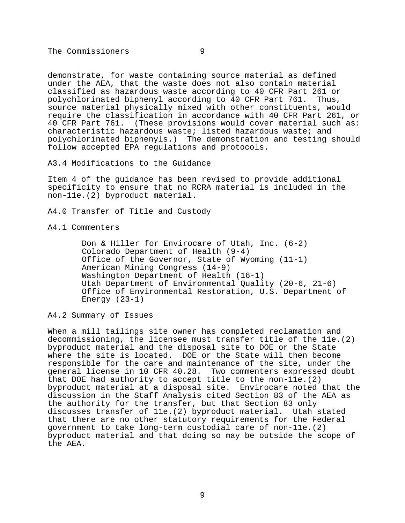demonstrate, for waste containing source material as defined under the AEA, that the waste does not also contain material classified as hazardous waste according to 40 CFR Part 261 or polychlorinated biphenyl according to 40 CFR Part 761. Thus, source material physically mixed with other constituents, would require the classification in accordance with 40 CFR Part 261, or 40 CFR Part 761. (These provisions would cover material such as: characteristic hazardous waste; listed hazardous waste; and polychlorinated biphenyls.) The demonstration and testing should follow accepted EPA regulations and protocols.

A3.4 Modifications to the Guidance

Item 4 of the guidance has been revised to provide additional specificity to ensure that no RCRA material is included in the non-11e.(2) byproduct material.

A4.0 Transfer of Title and Custody

A4.1 Commenters

Don & Hiller for Envirocare of Utah, Inc. (6-2) Colorado Department of Health (9-4) Office of the Governor, State of Wyoming (11-1) American Mining Congress (14-9) Washington Department of Health (16-1) Utah Department of Environmental Quality (20-6, 21-6) Office of Environmental Restoration, U.S. Department of Energy (23-1)

A4.2 Summary of Issues

When a mill tailings site owner has completed reclamation and decommissioning, the licensee must transfer title of the 11e.(2) byproduct material and the disposal site to DOE or the State where the site is located. DOE or the State will then become responsible for the care and maintenance of the site, under the general license in 10 CFR 40.28. Two commenters expressed doubt that DOE had authority to accept title to the non- $\bar{1}$ le.(2) byproduct material at a disposal site. Envirocare noted that the discussion in the Staff Analysis cited Section 83 of the AEA as the authority for the transfer, but that Section 83 only discusses transfer of 11e.(2) byproduct material. Utah stated that there are no other statutory requirements for the Federal government to take long-term custodial care of non-11e.(2) byproduct material and that doing so may be outside the scope of the AEA.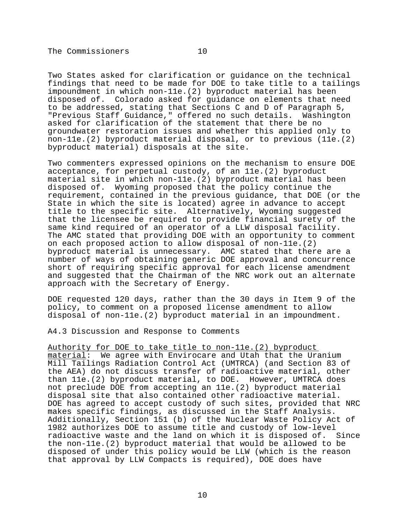Two States asked for clarification or guidance on the technical findings that need to be made for DOE to take title to a tailings impoundment in which non-11e.(2) byproduct material has been disposed of. Colorado asked for guidance on elements that need to be addressed, stating that Sections C and D of Paragraph 5, "Previous Staff Guidance," offered no such details. Washington asked for clarification of the statement that there be no groundwater restoration issues and whether this applied only to non-11e.(2) byproduct material disposal, or to previous (11e.(2) byproduct material) disposals at the site.

Two commenters expressed opinions on the mechanism to ensure DOE acceptance, for perpetual custody, of an 11e.(2) byproduct material site in which non-11e.(2) byproduct material has been disposed of. Wyoming proposed that the policy continue the requirement, contained in the previous guidance, that DOE (or the State in which the site is located) agree in advance to accept title to the specific site. Alternatively, Wyoming suggested that the licensee be required to provide financial surety of the same kind required of an operator of a LLW disposal facility. The AMC stated that providing DOE with an opportunity to comment on each proposed action to allow disposal of non-11e.(2) byproduct material is unnecessary. AMC stated that there are a number of ways of obtaining generic DOE approval and concurrence short of requiring specific approval for each license amendment and suggested that the Chairman of the NRC work out an alternate approach with the Secretary of Energy.

DOE requested 120 days, rather than the 30 days in Item 9 of the policy, to comment on a proposed license amendment to allow disposal of non-11e.(2) byproduct material in an impoundment.

A4.3 Discussion and Response to Comments

Authority for DOE to take title to non-11e.(2) byproduct material: We agree with Envirocare and Utah that the Uranium Mill Tailings Radiation Control Act (UMTRCA) (and Section 83 of the AEA) do not discuss transfer of radioactive material, other than 11e.(2) byproduct material, to DOE. However, UMTRCA does not preclude DOE from accepting an 11e.(2) byproduct material disposal site that also contained other radioactive material. DOE has agreed to accept custody of such sites, provided that NRC makes specific findings, as discussed in the Staff Analysis. Additionally, Section 151 (b) of the Nuclear Waste Policy Act of 1982 authorizes DOE to assume title and custody of low-level radioactive waste and the land on which it is disposed of. Since the non-11e.(2) byproduct material that would be allowed to be disposed of under this policy would be LLW (which is the reason that approval by LLW Compacts is required), DOE does have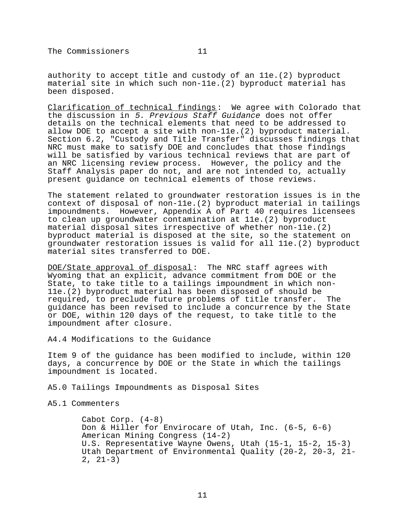authority to accept title and custody of an 11e.(2) byproduct material site in which such non-11e.(2) byproduct material has been disposed.

Clarification of technical findings: We agree with Colorado that the discussion in 5. Previous Staff Guidance does not offer details on the technical elements that need to be addressed to allow DOE to accept a site with non-11e.(2) byproduct material. Section 6.2, "Custody and Title Transfer" discusses findings that NRC must make to satisfy DOE and concludes that those findings will be satisfied by various technical reviews that are part of an NRC licensing review process. However, the policy and the Staff Analysis paper do not, and are not intended to, actually present guidance on technical elements of those reviews.

The statement related to groundwater restoration issues is in the context of disposal of non-11e.(2) byproduct material in tailings impoundments. However, Appendix A of Part 40 requires licensees to clean up groundwater contamination at 11e.(2) byproduct material disposal sites irrespective of whether non-11e.(2) byproduct material is disposed at the site, so the statement on groundwater restoration issues is valid for all 11e.(2) byproduct material sites transferred to DOE.

DOE/State approval of disposal: The NRC staff agrees with Wyoming that an explicit, advance commitment from DOE or the State, to take title to a tailings impoundment in which non-11e.(2) byproduct material has been disposed of should be required, to preclude future problems of title transfer. The guidance has been revised to include a concurrence by the State or DOE, within 120 days of the request, to take title to the impoundment after closure.

A4.4 Modifications to the Guidance

Item 9 of the guidance has been modified to include, within 120 days, a concurrence by DOE or the State in which the tailings impoundment is located.

A5.0 Tailings Impoundments as Disposal Sites

A5.1 Commenters

Cabot Corp. (4-8) Don & Hiller for Envirocare of Utah, Inc. (6-5, 6-6) American Mining Congress (14-2) U.S. Representative Wayne Owens, Utah (15-1, 15-2, 15-3) Utah Department of Environmental Quality (20-2, 20-3, 21-  $2, 21-3)$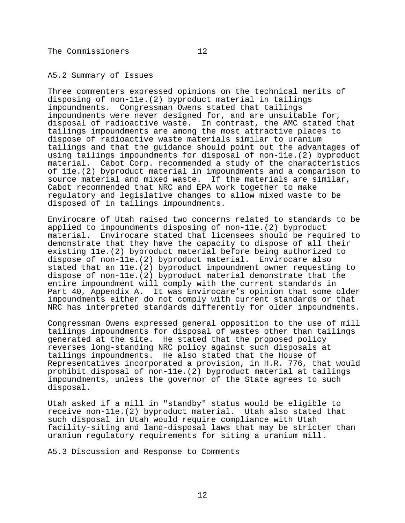## A5.2 Summary of Issues

Three commenters expressed opinions on the technical merits of disposing of non-11e.(2) byproduct material in tailings impoundments. Congressman Owens stated that tailings impoundments were never designed for, and are unsuitable for, disposal of radioactive waste. In contrast, the AMC stated that tailings impoundments are among the most attractive places to dispose of radioactive waste materials similar to uranium tailings and that the guidance should point out the advantages of using tailings impoundments for disposal of non-11e.(2) byproduct material. Cabot Corp. recommended a study of the characteristics of 11e.(2) byproduct material in impoundments and a comparison to source material and mixed waste. If the materials are similar, Cabot recommended that NRC and EPA work together to make regulatory and legislative changes to allow mixed waste to be disposed of in tailings impoundments.

Envirocare of Utah raised two concerns related to standards to be applied to impoundments disposing of non-11e.(2) byproduct material. Envirocare stated that licensees should be required to demonstrate that they have the capacity to dispose of all their existing 11e.(2) byproduct material before being authorized to dispose of non-11e.(2) byproduct material. Envirocare also stated that an 11e.(2) byproduct impoundment owner requesting to dispose of non-11e.(2) byproduct material demonstrate that the entire impoundment will comply with the current standards in Part 40, Appendix A. It was Envirocare's opinion that some older impoundments either do not comply with current standards or that NRC has interpreted standards differently for older impoundments.

Congressman Owens expressed general opposition to the use of mill tailings impoundments for disposal of wastes other than tailings generated at the site. He stated that the proposed policy reverses long-standing NRC policy against such disposals at tailings impoundments. He also stated that the House of Representatives incorporated a provision, in H.R. 776, that would prohibit disposal of non-11e.(2) byproduct material at tailings impoundments, unless the governor of the State agrees to such disposal.

Utah asked if a mill in "standby" status would be eligible to receive non-11e.(2) byproduct material. Utah also stated that such disposal in Utah would require compliance with Utah facility-siting and land-disposal laws that may be stricter than uranium regulatory requirements for siting a uranium mill.

A5.3 Discussion and Response to Comments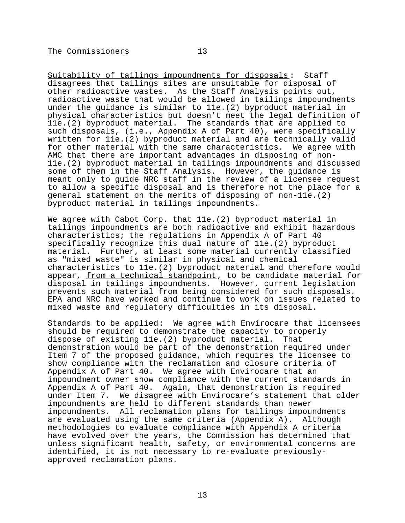Suitability of tailings impoundments for disposals: Staff disagrees that tailings sites are unsuitable for disposal of other radioactive wastes. As the Staff Analysis points out, radioactive waste that would be allowed in tailings impoundments under the guidance is similar to 11e.(2) byproduct material in physical characteristics but doesn't meet the legal definition of 11e.(2) byproduct material. The standards that are applied to such disposals, (i.e., Appendix A of Part 40), were specifically written for 11e.(2) byproduct material and are technically valid for other material with the same characteristics. We agree with AMC that there are important advantages in disposing of non-11e.(2) byproduct material in tailings impoundments and discussed some of them in the Staff Analysis. However, the guidance is meant only to guide NRC staff in the review of a licensee request to allow a specific disposal and is therefore not the place for a general statement on the merits of disposing of non-11e.(2) byproduct material in tailings impoundments.

We agree with Cabot Corp. that 11e.(2) byproduct material in tailings impoundments are both radioactive and exhibit hazardous characteristics; the regulations in Appendix A of Part 40 specifically recognize this dual nature of 11e.(2) byproduct material. Further, at least some material currently classified as "mixed waste" is similar in physical and chemical characteristics to 11e.(2) byproduct material and therefore would appear, from a technical standpoint, to be candidate material for disposal in tailings impoundments. However, current legislation prevents such material from being considered for such disposals. EPA and NRC have worked and continue to work on issues related to mixed waste and regulatory difficulties in its disposal.

Standards to be applied: We agree with Envirocare that licensees should be required to demonstrate the capacity to properly dispose of existing 11e.(2) byproduct material. That demonstration would be part of the demonstration required under Item 7 of the proposed guidance, which requires the licensee to show compliance with the reclamation and closure criteria of Appendix A of Part 40. We agree with Envirocare that an impoundment owner show compliance with the current standards in Appendix A of Part 40. Again, that demonstration is required under Item 7. We disagree with Envirocare's statement that older impoundments are held to different standards than newer impoundments. All reclamation plans for tailings impoundments are evaluated using the same criteria (Appendix A). Although methodologies to evaluate compliance with Appendix A criteria have evolved over the years, the Commission has determined that unless significant health, safety, or environmental concerns are identified, it is not necessary to re-evaluate previouslyapproved reclamation plans.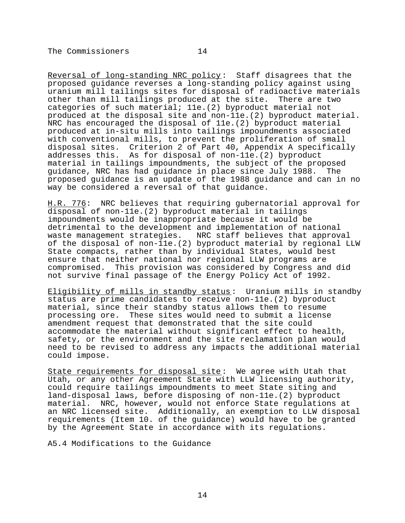Reversal of long-standing NRC policy: Staff disagrees that the proposed guidance reverses a long-standing policy against using uranium mill tailings sites for disposal of radioactive materials other than mill tailings produced at the site. There are two categories of such material; 11e.(2) byproduct material not produced at the disposal site and non-11e.(2) byproduct material. NRC has encouraged the disposal of 11e.(2) byproduct material produced at in-situ mills into tailings impoundments associated with conventional mills, to prevent the proliferation of small disposal sites. Criterion 2 of Part 40, Appendix A specifically addresses this. As for disposal of non-11e.(2) byproduct material in tailings impoundments, the subject of the proposed guidance, NRC has had guidance in place since July 1988. The proposed guidance is an update of the 1988 guidance and can in no way be considered a reversal of that guidance.

H.R. 776: NRC believes that requiring gubernatorial approval for disposal of non-11e.(2) byproduct material in tailings impoundments would be inappropriate because it would be detrimental to the development and implementation of national<br>waste management strategies. NRC staff believes that approva NRC staff believes that approval of the disposal of non-11e.(2) byproduct material by regional LLW State compacts, rather than by individual States, would best ensure that neither national nor regional LLW programs are compromised. This provision was considered by Congress and did not survive final passage of the Energy Policy Act of 1992.

Eligibility of mills in standby status : Uranium mills in standby status are prime candidates to receive non-11e.(2) byproduct material, since their standby status allows them to resume processing ore. These sites would need to submit a license amendment request that demonstrated that the site could accommodate the material without significant effect to health, safety, or the environment and the site reclamation plan would need to be revised to address any impacts the additional material could impose.

State requirements for disposal site: We agree with Utah that Utah, or any other Agreement State with LLW licensing authority, could require tailings impoundments to meet State siting and land-disposal laws, before disposing of non-11e.(2) byproduct material. NRC, however, would not enforce State regulations at an NRC licensed site. Additionally, an exemption to LLW disposal requirements (Item 10. of the guidance) would have to be granted by the Agreement State in accordance with its regulations.

A5.4 Modifications to the Guidance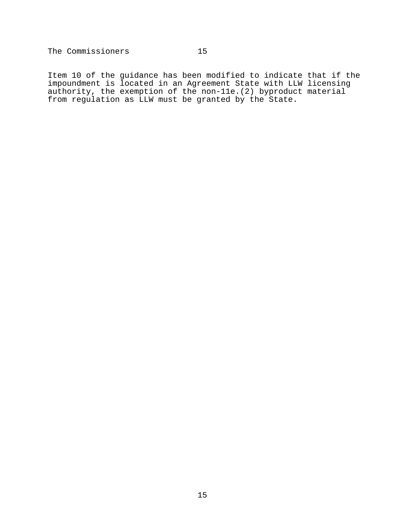Item 10 of the guidance has been modified to indicate that if the impoundment is located in an Agreement State with LLW licensing authority, the exemption of the non-11e.(2) byproduct material from regulation as LLW must be granted by the State.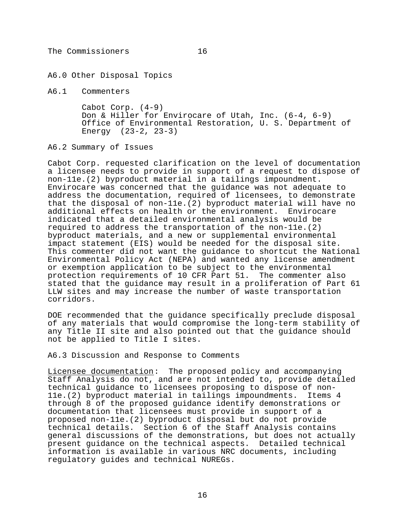A6.0 Other Disposal Topics

A6.1 Commenters

Cabot Corp. (4-9) Don & Hiller for Envirocare of Utah, Inc. (6-4, 6-9) Office of Environmental Restoration, U. S. Department of Energy (23-2, 23-3)

A6.2 Summary of Issues

Cabot Corp. requested clarification on the level of documentation a licensee needs to provide in support of a request to dispose of non-11e.(2) byproduct material in a tailings impoundment. Envirocare was concerned that the guidance was not adequate to address the documentation, required of licensees, to demonstrate that the disposal of non-11e.(2) byproduct material will have no additional effects on health or the environment. Envirocare indicated that a detailed environmental analysis would be required to address the transportation of the non-11e.(2) byproduct materials, and a new or supplemental environmental impact statement (EIS) would be needed for the disposal site. This commenter did not want the guidance to shortcut the National Environmental Policy Act (NEPA) and wanted any license amendment or exemption application to be subject to the environmental protection requirements of 10 CFR Part 51. The commenter also stated that the guidance may result in a proliferation of Part 61 LLW sites and may increase the number of waste transportation corridors.

DOE recommended that the guidance specifically preclude disposal of any materials that would compromise the long-term stability of any Title II site and also pointed out that the guidance should not be applied to Title I sites.

A6.3 Discussion and Response to Comments

Licensee documentation: The proposed policy and accompanying Staff Analysis do not, and are not intended to, provide detailed technical guidance to licensees proposing to dispose of non-11e.(2) byproduct material in tailings impoundments. Items 4 through 8 of the proposed guidance identify demonstrations or documentation that licensees must provide in support of a proposed non-11e.(2) byproduct disposal but do not provide technical details. Section 6 of the Staff Analysis contains general discussions of the demonstrations, but does not actually present guidance on the technical aspects. Detailed technical information is available in various NRC documents, including regulatory guides and technical NUREGs.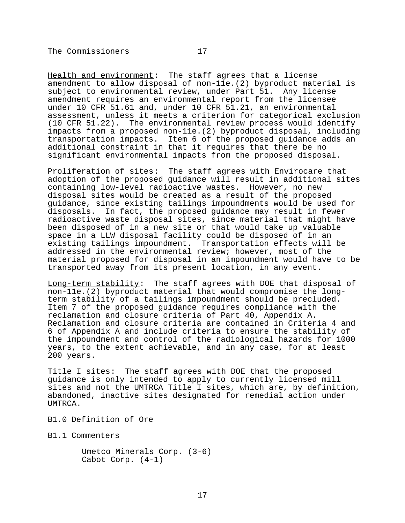Health and environment: The staff agrees that a license amendment to allow disposal of non-11e.(2) byproduct material is subject to environmental review, under Part 51. Any license amendment requires an environmental report from the licensee under 10 CFR 51.61 and, under 10 CFR 51.21, an environmental

assessment, unless it meets a criterion for categorical exclusion (10 CFR 51.22). The environmental review process would identify impacts from a proposed non-11e.(2) byproduct disposal, including transportation impacts. Item 6 of the proposed guidance adds an additional constraint in that it requires that there be no significant environmental impacts from the proposed disposal.

Proliferation of sites: The staff agrees with Envirocare that adoption of the proposed guidance will result in additional sites containing low-level radioactive wastes. However, no new disposal sites would be created as a result of the proposed guidance, since existing tailings impoundments would be used for disposals. In fact, the proposed guidance may result in fewer radioactive waste disposal sites, since material that might have been disposed of in a new site or that would take up valuable space in a LLW disposal facility could be disposed of in an existing tailings impoundment. Transportation effects will be addressed in the environmental review; however, most of the material proposed for disposal in an impoundment would have to be transported away from its present location, in any event.

Long-term stability: The staff agrees with DOE that disposal of non-11e.(2) byproduct material that would compromise the longterm stability of a tailings impoundment should be precluded. Item 7 of the proposed guidance requires compliance with the reclamation and closure criteria of Part 40, Appendix A. Reclamation and closure criteria are contained in Criteria 4 and 6 of Appendix A and include criteria to ensure the stability of the impoundment and control of the radiological hazards for 1000 years, to the extent achievable, and in any case, for at least 200 years.

Title I sites: The staff agrees with DOE that the proposed guidance is only intended to apply to currently licensed mill sites and not the UMTRCA Title I sites, which are, by definition, abandoned, inactive sites designated for remedial action under UMTRCA.

B1.0 Definition of Ore

B1.1 Commenters

Umetco Minerals Corp. (3-6) Cabot Corp. (4-1)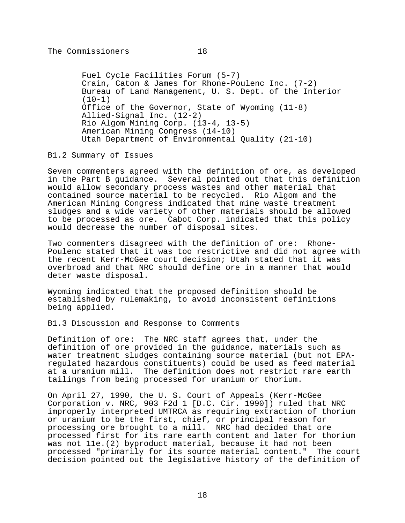Fuel Cycle Facilities Forum (5-7) Crain, Caton & James for Rhone-Poulenc Inc. (7-2) Bureau of Land Management, U. S. Dept. of the Interior (10-1) Office of the Governor, State of Wyoming (11-8) Allied-Signal Inc. (12-2) Rio Algom Mining Corp. (13-4, 13-5) American Mining Congress (14-10) Utah Department of Environmental Quality (21-10)

B1.2 Summary of Issues

Seven commenters agreed with the definition of ore, as developed in the Part B guidance. Several pointed out that this definition would allow secondary process wastes and other material that contained source material to be recycled. Rio Algom and the American Mining Congress indicated that mine waste treatment sludges and a wide variety of other materials should be allowed to be processed as ore. Cabot Corp. indicated that this policy would decrease the number of disposal sites.

Two commenters disagreed with the definition of ore: Rhone-Poulenc stated that it was too restrictive and did not agree with the recent Kerr-McGee court decision; Utah stated that it was overbroad and that NRC should define ore in a manner that would deter waste disposal.

Wyoming indicated that the proposed definition should be established by rulemaking, to avoid inconsistent definitions being applied.

B1.3 Discussion and Response to Comments

Definition of ore: The NRC staff agrees that, under the definition of ore provided in the guidance, materials such as water treatment sludges containing source material (but not EPAregulated hazardous constituents) could be used as feed material at a uranium mill. The definition does not restrict rare earth tailings from being processed for uranium or thorium.

On April 27, 1990, the U. S. Court of Appeals (Kerr-McGee Corporation v. NRC, 903 F2d 1 [D.C. Cir. 1990]) ruled that NRC improperly interpreted UMTRCA as requiring extraction of thorium or uranium to be the first, chief, or principal reason for processing ore brought to a mill. NRC had decided that ore processed first for its rare earth content and later for thorium was not 11e.(2) byproduct material, because it had not been processed "primarily for its source material content." The court decision pointed out the legislative history of the definition of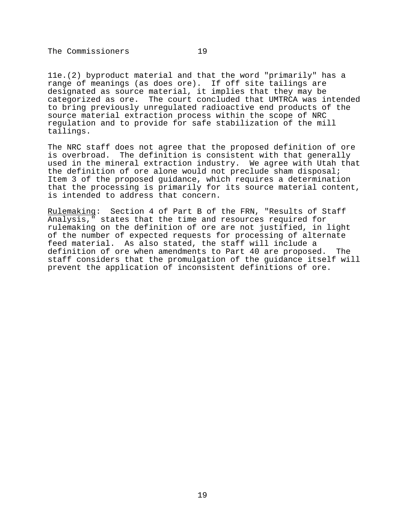11e.(2) byproduct material and that the word "primarily" has a range of meanings (as does ore). If off site tailings are designated as source material, it implies that they may be categorized as ore. The court concluded that UMTRCA was intended to bring previously unregulated radioactive end products of the source material extraction process within the scope of NRC regulation and to provide for safe stabilization of the mill tailings.

The NRC staff does not agree that the proposed definition of ore is overbroad. The definition is consistent with that generally used in the mineral extraction industry. We agree with Utah that the definition of ore alone would not preclude sham disposal; Item 3 of the proposed guidance, which requires a determination that the processing is primarily for its source material content, is intended to address that concern.

Rulemaking: Section 4 of Part B of the FRN, "Results of Staff Analysis," states that the time and resources required for rulemaking on the definition of ore are not justified, in light of the number of expected requests for processing of alternate feed material. As also stated, the staff will include a definition of ore when amendments to Part 40 are proposed. The staff considers that the promulgation of the guidance itself will prevent the application of inconsistent definitions of ore.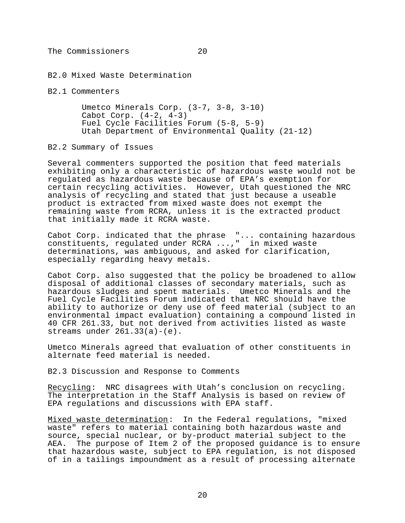B2.0 Mixed Waste Determination

B2.1 Commenters

Umetco Minerals Corp. (3-7, 3-8, 3-10) Cabot Corp.  $(4-2, 4-3)$ Fuel Cycle Facilities Forum (5-8, 5-9) Utah Department of Environmental Quality (21-12)

#### B2.2 Summary of Issues

Several commenters supported the position that feed materials exhibiting only a characteristic of hazardous waste would not be regulated as hazardous waste because of EPA's exemption for certain recycling activities. However, Utah questioned the NRC analysis of recycling and stated that just because a useable product is extracted from mixed waste does not exempt the remaining waste from RCRA, unless it is the extracted product that initially made it RCRA waste.

Cabot Corp. indicated that the phrase "... containing hazardous constituents, regulated under RCRA ...," in mixed waste determinations, was ambiguous, and asked for clarification, especially regarding heavy metals.

Cabot Corp. also suggested that the policy be broadened to allow disposal of additional classes of secondary materials, such as hazardous sludges and spent materials. Umetco Minerals and the Fuel Cycle Facilities Forum indicated that NRC should have the ability to authorize or deny use of feed material (subject to an environmental impact evaluation) containing a compound listed in 40 CFR 261.33, but not derived from activities listed as waste streams under  $261.33(a)-(e)$ .

Umetco Minerals agreed that evaluation of other constituents in alternate feed material is needed.

B2.3 Discussion and Response to Comments

Recycling: NRC disagrees with Utah's conclusion on recycling. The interpretation in the Staff Analysis is based on review of EPA regulations and discussions with EPA staff.

Mixed waste determination: In the Federal regulations, "mixed waste" refers to material containing both hazardous waste and source, special nuclear, or by-product material subject to the AEA. The purpose of Item 2 of the proposed guidance is to ensure that hazardous waste, subject to EPA regulation, is not disposed of in a tailings impoundment as a result of processing alternate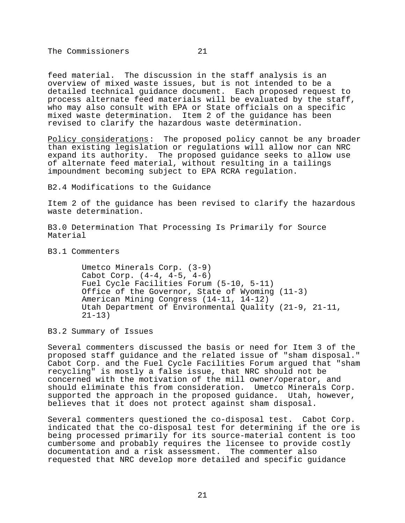feed material. The discussion in the staff analysis is an overview of mixed waste issues, but is not intended to be a detailed technical guidance document. Each proposed request to process alternate feed materials will be evaluated by the staff, who may also consult with EPA or State officials on a specific

mixed waste determination. Item 2 of the guidance has been

revised to clarify the hazardous waste determination.

Policy considerations: The proposed policy cannot be any broader than existing legislation or regulations will allow nor can NRC expand its authority. The proposed guidance seeks to allow use of alternate feed material, without resulting in a tailings impoundment becoming subject to EPA RCRA regulation.

B2.4 Modifications to the Guidance

Item 2 of the guidance has been revised to clarify the hazardous waste determination.

B3.0 Determination That Processing Is Primarily for Source Material

B3.1 Commenters

Umetco Minerals Corp. (3-9) Cabot Corp. (4-4, 4-5, 4-6) Fuel Cycle Facilities Forum (5-10, 5-11) Office of the Governor, State of Wyoming (11-3) American Mining Congress (14-11, 14-12) Utah Department of Environmental Quality (21-9, 21-11,  $21 - 13$ 

B3.2 Summary of Issues

Several commenters discussed the basis or need for Item 3 of the proposed staff guidance and the related issue of "sham disposal." Cabot Corp. and the Fuel Cycle Facilities Forum argued that "sham recycling" is mostly a false issue, that NRC should not be concerned with the motivation of the mill owner/operator, and should eliminate this from consideration. Umetco Minerals Corp. supported the approach in the proposed guidance. Utah, however, believes that it does not protect against sham disposal.

Several commenters questioned the co-disposal test. Cabot Corp. indicated that the co-disposal test for determining if the ore is being processed primarily for its source-material content is too cumbersome and probably requires the licensee to provide costly documentation and a risk assessment. The commenter also requested that NRC develop more detailed and specific guidance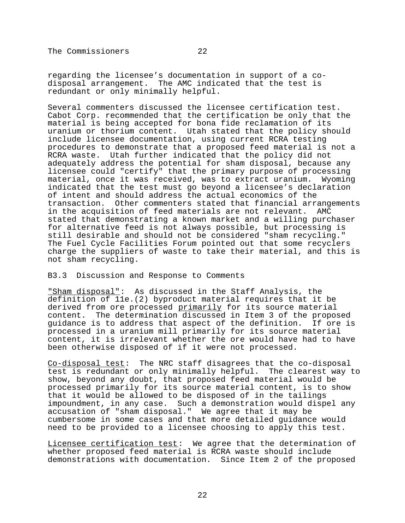regarding the licensee's documentation in support of a codisposal arrangement. The AMC indicated that the test is redundant or only minimally helpful.

Several commenters discussed the licensee certification test. Cabot Corp. recommended that the certification be only that the material is being accepted for bona fide reclamation of its uranium or thorium content. Utah stated that the policy should include licensee documentation, using current RCRA testing procedures to demonstrate that a proposed feed material is not a RCRA waste. Utah further indicated that the policy did not adequately address the potential for sham disposal, because any licensee could "certify" that the primary purpose of processing material, once it was received, was to extract uranium. Wyoming indicated that the test must go beyond a licensee's declaration of intent and should address the actual economics of the transaction. Other commenters stated that financial arrangements in the acquisition of feed materials are not relevant. AMC stated that demonstrating a known market and a willing purchaser for alternative feed is not always possible, but processing is still desirable and should not be considered "sham recycling." The Fuel Cycle Facilities Forum pointed out that some recyclers charge the suppliers of waste to take their material, and this is not sham recycling.

#### B3.3 Discussion and Response to Comments

"Sham disposal": As discussed in the Staff Analysis, the definition of 11e.(2) byproduct material requires that it be derived from ore processed primarily for its source material content. The determination discussed in Item 3 of the proposed guidance is to address that aspect of the definition. If ore is processed in a uranium mill primarily for its source material content, it is irrelevant whether the ore would have had to have been otherwise disposed of if it were not processed.

Co-disposal test: The NRC staff disagrees that the co-disposal test is redundant or only minimally helpful. The clearest way to show, beyond any doubt, that proposed feed material would be processed primarily for its source material content, is to show that it would be allowed to be disposed of in the tailings impoundment, in any case. Such a demonstration would dispel any accusation of "sham disposal." We agree that it may be cumbersome in some cases and that more detailed guidance would need to be provided to a licensee choosing to apply this test.

Licensee certification test: We agree that the determination of whether proposed feed material is RCRA waste should include demonstrations with documentation. Since Item 2 of the proposed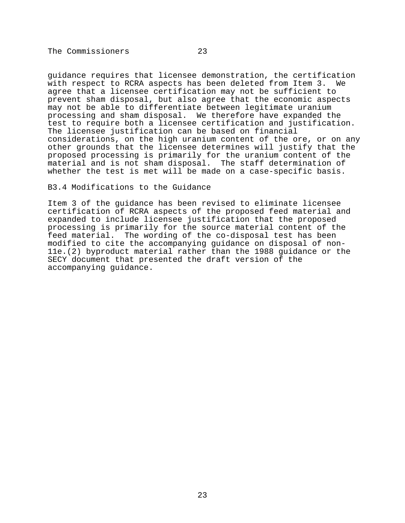guidance requires that licensee demonstration, the certification with respect to RCRA aspects has been deleted from Item 3. We agree that a licensee certification may not be sufficient to prevent sham disposal, but also agree that the economic aspects may not be able to differentiate between legitimate uranium processing and sham disposal. We therefore have expanded the test to require both a licensee certification and justification. The licensee justification can be based on financial considerations, on the high uranium content of the ore, or on any other grounds that the licensee determines will justify that the proposed processing is primarily for the uranium content of the material and is not sham disposal. The staff determination of

# whether the test is met will be made on a case-specific basis.

B3.4 Modifications to the Guidance

Item 3 of the guidance has been revised to eliminate licensee certification of RCRA aspects of the proposed feed material and expanded to include licensee justification that the proposed processing is primarily for the source material content of the feed material. The wording of the co-disposal test has been modified to cite the accompanying guidance on disposal of non-11e.(2) byproduct material rather than the 1988 guidance or the SECY document that presented the draft version of the accompanying guidance.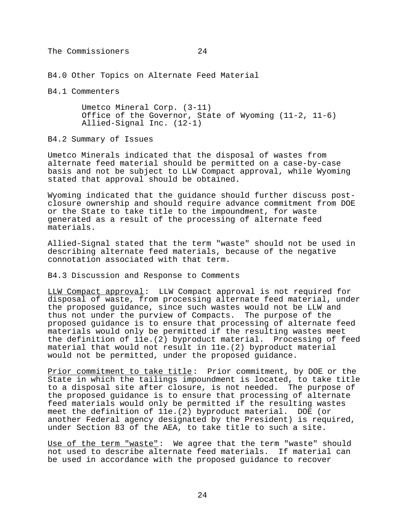B4.0 Other Topics on Alternate Feed Material

B4.1 Commenters

Umetco Mineral Corp. (3-11) Office of the Governor, State of Wyoming (11-2, 11-6) Allied-Signal Inc. (12-1)

B4.2 Summary of Issues

Umetco Minerals indicated that the disposal of wastes from alternate feed material should be permitted on a case-by-case basis and not be subject to LLW Compact approval, while Wyoming stated that approval should be obtained.

Wyoming indicated that the guidance should further discuss postclosure ownership and should require advance commitment from DOE or the State to take title to the impoundment, for waste generated as a result of the processing of alternate feed materials.

Allied-Signal stated that the term "waste" should not be used in describing alternate feed materials, because of the negative connotation associated with that term.

B4.3 Discussion and Response to Comments

LLW Compact approval: LLW Compact approval is not required for disposal of waste, from processing alternate feed material, under the proposed guidance, since such wastes would not be LLW and thus not under the purview of Compacts. The purpose of the proposed guidance is to ensure that processing of alternate feed materials would only be permitted if the resulting wastes meet the definition of 11e.(2) byproduct material. Processing of feed material that would not result in 11e.(2) byproduct material would not be permitted, under the proposed guidance.

Prior commitment to take title: Prior commitment, by DOE or the State in which the tailings impoundment is located, to take title to a disposal site after closure, is not needed. The purpose of the proposed guidance is to ensure that processing of alternate feed materials would only be permitted if the resulting wastes meet the definition of 11e.(2) byproduct material. DOE (or another Federal agency designated by the President) is required, under Section 83 of the AEA, to take title to such a site.

Use of the term "waste": We agree that the term "waste" should not used to describe alternate feed materials. If material can be used in accordance with the proposed guidance to recover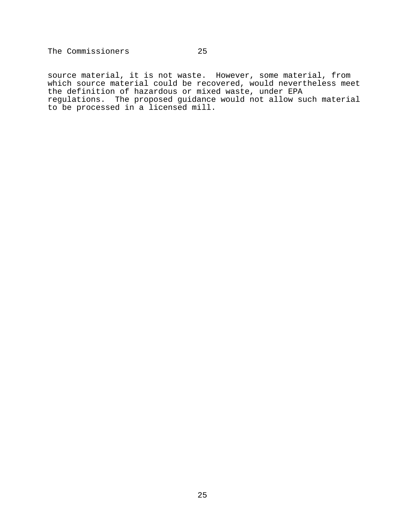source material, it is not waste. However, some material, from which source material could be recovered, would nevertheless meet the definition of hazardous or mixed waste, under EPA regulations. The proposed guidance would not allow such material to be processed in a licensed mill.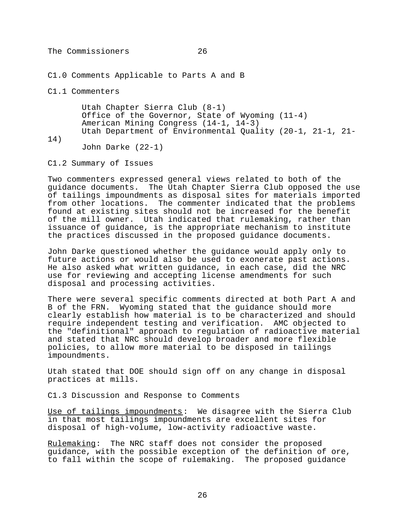C1.0 Comments Applicable to Parts A and B

C1.1 Commenters

Utah Chapter Sierra Club (8-1) Office of the Governor, State of Wyoming (11-4) American Mining Congress (14-1, 14-3) Utah Department of Environmental Quality (20-1, 21-1, 21-

14)

John Darke (22-1)

C1.2 Summary of Issues

Two commenters expressed general views related to both of the guidance documents. The Utah Chapter Sierra Club opposed the use of tailings impoundments as disposal sites for materials imported from other locations. The commenter indicated that the problems found at existing sites should not be increased for the benefit of the mill owner. Utah indicated that rulemaking, rather than issuance of guidance, is the appropriate mechanism to institute the practices discussed in the proposed guidance documents.

John Darke questioned whether the guidance would apply only to future actions or would also be used to exonerate past actions. He also asked what written guidance, in each case, did the NRC use for reviewing and accepting license amendments for such disposal and processing activities.

There were several specific comments directed at both Part A and B of the FRN. Wyoming stated that the guidance should more clearly establish how material is to be characterized and should require independent testing and verification. AMC objected to the "definitional" approach to regulation of radioactive material and stated that NRC should develop broader and more flexible policies, to allow more material to be disposed in tailings impoundments.

Utah stated that DOE should sign off on any change in disposal practices at mills.

C1.3 Discussion and Response to Comments

Use of tailings impoundments: We disagree with the Sierra Club in that most tailings impoundments are excellent sites for disposal of high-volume, low-activity radioactive waste.

Rulemaking: The NRC staff does not consider the proposed guidance, with the possible exception of the definition of ore, to fall within the scope of rulemaking. The proposed guidance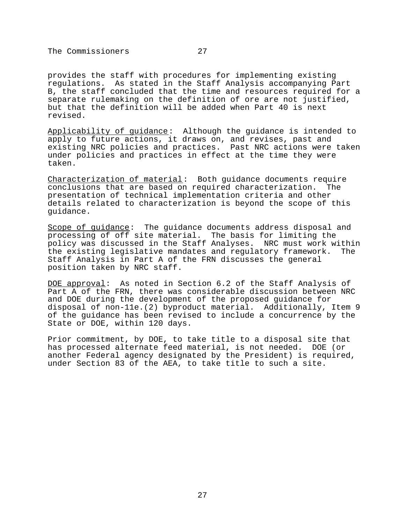provides the staff with procedures for implementing existing regulations. As stated in the Staff Analysis accompanying Part B, the staff concluded that the time and resources required for a separate rulemaking on the definition of ore are not justified, but that the definition will be added when Part 40 is next revised.

Applicability of guidance: Although the guidance is intended to apply to future actions, it draws on, and revises, past and existing NRC policies and practices. Past NRC actions were taken under policies and practices in effect at the time they were taken.

Characterization of material: Both guidance documents require conclusions that are based on required characterization. The presentation of technical implementation criteria and other details related to characterization is beyond the scope of this guidance.

Scope of guidance: The guidance documents address disposal and processing of off site material. The basis for limiting the policy was discussed in the Staff Analyses. NRC must work within the existing legislative mandates and regulatory framework. The Staff Analysis in Part A of the FRN discusses the general position taken by NRC staff.

DOE approval: As noted in Section 6.2 of the Staff Analysis of Part A of the FRN, there was considerable discussion between NRC and DOE during the development of the proposed guidance for disposal of non-11e.(2) byproduct material. Additionally, Item 9 of the guidance has been revised to include a concurrence by the State or DOE, within 120 days.

Prior commitment, by DOE, to take title to a disposal site that has processed alternate feed material, is not needed. DOE (or another Federal agency designated by the President) is required, under Section 83 of the AEA, to take title to such a site.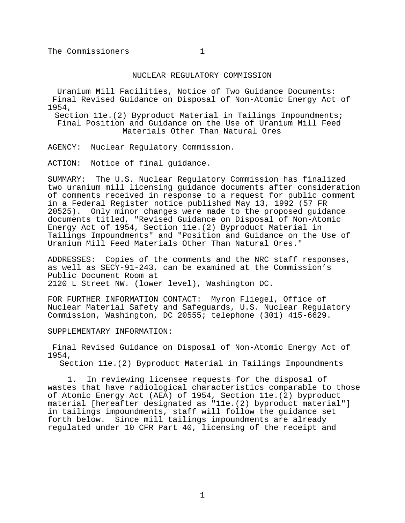## NUCLEAR REGULATORY COMMISSION

Uranium Mill Facilities, Notice of Two Guidance Documents: Final Revised Guidance on Disposal of Non-Atomic Energy Act of 1954,

Section 11e.(2) Byproduct Material in Tailings Impoundments; Final Position and Guidance on the Use of Uranium Mill Feed Materials Other Than Natural Ores

AGENCY: Nuclear Regulatory Commission.

ACTION: Notice of final guidance.

SUMMARY: The U.S. Nuclear Regulatory Commission has finalized two uranium mill licensing guidance documents after consideration of comments received in response to a request for public comment in a Federal Register notice published May 13, 1992 (57 FR 20525). Only minor changes were made to the proposed guidance documents titled, "Revised Guidance on Disposal of Non-Atomic Energy Act of 1954, Section 11e.(2) Byproduct Material in Tailings Impoundments" and "Position and Guidance on the Use of Uranium Mill Feed Materials Other Than Natural Ores."

ADDRESSES: Copies of the comments and the NRC staff responses, as well as SECY-91-243, can be examined at the Commission's Public Document Room at 2120 L Street NW. (lower level), Washington DC.

FOR FURTHER INFORMATION CONTACT: Myron Fliegel, Office of Nuclear Material Safety and Safeguards, U.S. Nuclear Regulatory Commission, Washington, DC 20555; telephone (301) 415-6629.

SUPPLEMENTARY INFORMATION:

Final Revised Guidance on Disposal of Non-Atomic Energy Act of 1954,

Section 11e.(2) Byproduct Material in Tailings Impoundments

1. In reviewing licensee requests for the disposal of wastes that have radiological characteristics comparable to those of Atomic Energy Act (AEA) of 1954, Section 11e.(2) byproduct material [hereafter designated as "11e.(2) byproduct material"] in tailings impoundments, staff will follow the guidance set forth below. Since mill tailings impoundments are already regulated under 10 CFR Part 40, licensing of the receipt and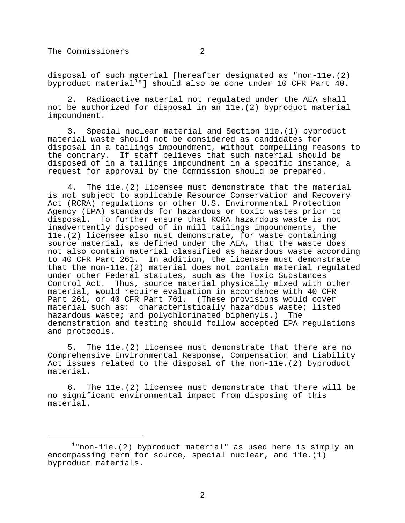disposal of such material [hereafter designated as "non-11e.(2) byproduct material<sup>1</sup>"] should also be done under 10 CFR Part 40.

2. Radioactive material not regulated under the AEA shall not be authorized for disposal in an 11e.(2) byproduct material impoundment.

3. Special nuclear material and Section 11e.(1) byproduct material waste should not be considered as candidates for disposal in a tailings impoundment, without compelling reasons to the contrary. If staff believes that such material should be disposed of in a tailings impoundment in a specific instance, a request for approval by the Commission should be prepared.

4. The 11e.(2) licensee must demonstrate that the material is not subject to applicable Resource Conservation and Recovery Act (RCRA) regulations or other U.S. Environmental Protection Agency (EPA) standards for hazardous or toxic wastes prior to disposal. To further ensure that RCRA hazardous waste is not inadvertently disposed of in mill tailings impoundments, the 11e.(2) licensee also must demonstrate, for waste containing source material, as defined under the AEA, that the waste does not also contain material classified as hazardous waste according to 40 CFR Part 261. In addition, the licensee must demonstrate that the non-11e.(2) material does not contain material regulated under other Federal statutes, such as the Toxic Substances Control Act. Thus, source material physically mixed with other material, would require evaluation in accordance with 40 CFR Part 261, or 40 CFR Part 761. (These provisions would cover material such as: characteristically hazardous waste; listed hazardous waste; and polychlorinated biphenyls.) The demonstration and testing should follow accepted EPA regulations and protocols.

5. The 11e.(2) licensee must demonstrate that there are no Comprehensive Environmental Response, Compensation and Liability Act issues related to the disposal of the non-11e.(2) byproduct material.

6. The 11e.(2) licensee must demonstrate that there will be no significant environmental impact from disposing of this material.

 $1$ "non-11e.(2) byproduct material" as used here is simply an encompassing term for source, special nuclear, and 11e.(1) byproduct materials.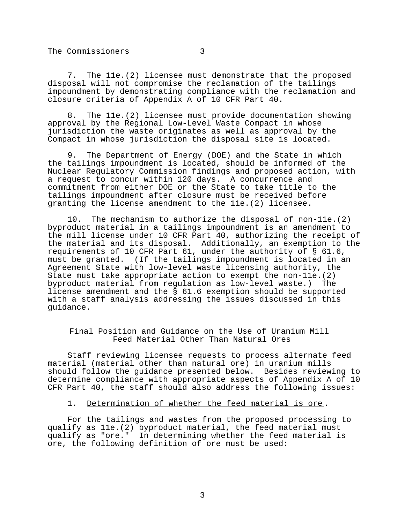7. The 11e.(2) licensee must demonstrate that the proposed disposal will not compromise the reclamation of the tailings impoundment by demonstrating compliance with the reclamation and closure criteria of Appendix A of 10 CFR Part 40.

8. The 11e.(2) licensee must provide documentation showing approval by the Regional Low-Level Waste Compact in whose jurisdiction the waste originates as well as approval by the Compact in whose jurisdiction the disposal site is located.

9. The Department of Energy (DOE) and the State in which the tailings impoundment is located, should be informed of the Nuclear Regulatory Commission findings and proposed action, with a request to concur within 120 days. A concurrence and commitment from either DOE or the State to take title to the tailings impoundment after closure must be received before granting the license amendment to the 11e.(2) licensee.

10. The mechanism to authorize the disposal of non-11e.(2) byproduct material in a tailings impoundment is an amendment to the mill license under 10 CFR Part 40, authorizing the receipt of the material and its disposal. Additionally, an exemption to the requirements of 10 CFR Part 61, under the authority of § 61.6, must be granted. (If the tailings impoundment is located in an Agreement State with low-level waste licensing authority, the State must take appropriate action to exempt the non-11e.(2) byproduct material from regulation as low-level waste.) The license amendment and the § 61.6 exemption should be supported with a staff analysis addressing the issues discussed in this guidance.

Final Position and Guidance on the Use of Uranium Mill Feed Material Other Than Natural Ores

Staff reviewing licensee requests to process alternate feed material (material other than natural ore) in uranium mills should follow the guidance presented below. Besides reviewing to determine compliance with appropriate aspects of Appendix A of 10 CFR Part 40, the staff should also address the following issues:

## 1. Determination of whether the feed material is ore .

For the tailings and wastes from the proposed processing to qualify as 11e.(2) byproduct material, the feed material must qualify as "ore." In determining whether the feed material is ore, the following definition of ore must be used: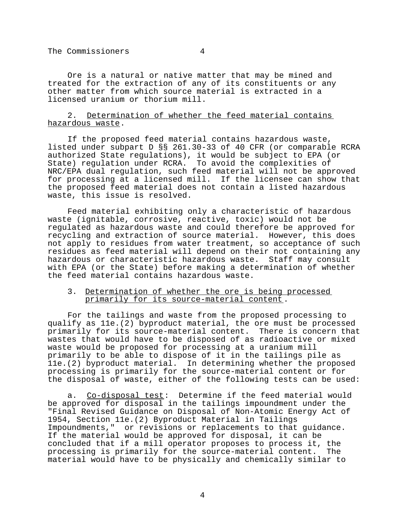Ore is a natural or native matter that may be mined and treated for the extraction of any of its constituents or any other matter from which source material is extracted in a licensed uranium or thorium mill.

# 2. Determination of whether the feed material contains hazardous waste.

If the proposed feed material contains hazardous waste, listed under subpart D §§ 261.30-33 of 40 CFR (or comparable RCRA authorized State regulations), it would be subject to EPA (or State) regulation under RCRA. To avoid the complexities of NRC/EPA dual regulation, such feed material will not be approved for processing at a licensed mill. If the licensee can show that the proposed feed material does not contain a listed hazardous waste, this issue is resolved.

Feed material exhibiting only a characteristic of hazardous waste (ignitable, corrosive, reactive, toxic) would not be regulated as hazardous waste and could therefore be approved for recycling and extraction of source material. However, this does not apply to residues from water treatment, so acceptance of such residues as feed material will depend on their not containing any hazardous or characteristic hazardous waste. Staff may consult with EPA (or the State) before making a determination of whether the feed material contains hazardous waste.

# 3. Determination of whether the ore is being processed primarily for its source-material content.

For the tailings and waste from the proposed processing to qualify as 11e.(2) byproduct material, the ore must be processed primarily for its source-material content. There is concern that wastes that would have to be disposed of as radioactive or mixed waste would be proposed for processing at a uranium mill primarily to be able to dispose of it in the tailings pile as 11e.(2) byproduct material. In determining whether the proposed processing is primarily for the source-material content or for the disposal of waste, either of the following tests can be used:

a. Co-disposal test: Determine if the feed material would be approved for disposal in the tailings impoundment under the "Final Revised Guidance on Disposal of Non-Atomic Energy Act of 1954, Section 11e.(2) Byproduct Material in Tailings Impoundments," or revisions or replacements to that guidance. If the material would be approved for disposal, it can be concluded that if a mill operator proposes to process it, the processing is primarily for the source-material content. The material would have to be physically and chemically similar to